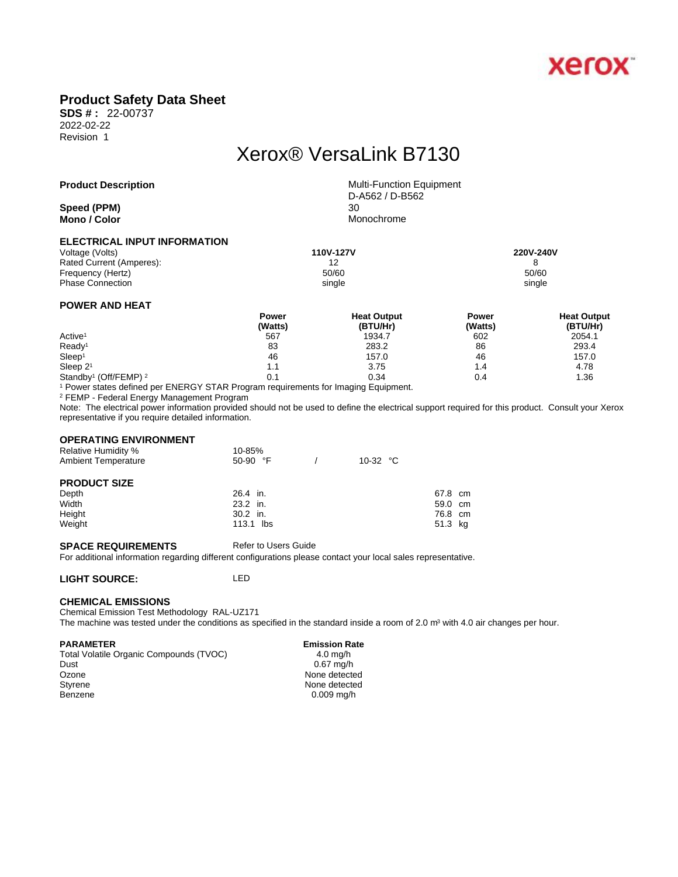

## **Product Safety Data Sheet**

**SDS # :** 22-00737 2022-02-22 Revision 1

# Xerox® VersaLink B7130

**Speed** (PPM) **Mono** / **Color** Monochrome

**Product Description** Multi-Function Equipment D-A562 / D-B562

### **ELECTRICAL INPUT INFORMATION**

| Voltage (Volts)          | 110V-127V | 220V-240V |
|--------------------------|-----------|-----------|
| Rated Current (Amperes): | 12        |           |
| Frequency (Hertz)        | 50/60     | 50/60     |
| <b>Phase Connection</b>  | single    | single    |
|                          |           |           |

### **POWER AND HEAT**

|                                              | Power   | <b>Heat Output</b> | Power   | <b>Heat Output</b> |  |
|----------------------------------------------|---------|--------------------|---------|--------------------|--|
|                                              | (Watts) | (BTU/Hr)           | (Watts) | (BTU/Hr)           |  |
| Active <sup>1</sup>                          | 567     | 1934.7             | 602     | 2054.1             |  |
| Ready <sup>1</sup>                           | 83      | 283.2              | 86      | 293.4              |  |
| Sleep <sup>1</sup>                           | 46      | 157.0              | 46      | 157.0              |  |
| Sleep $21$                                   | 1.1     | 3.75               | 1.4     | 4.78               |  |
| Standby <sup>1</sup> (Off/FEMP) <sup>2</sup> | 0.1     | 0.34               | 0.4     | 1.36               |  |

1 Power states defined per ENERGY STAR Program requirements for Imaging Equipment.

2 FEMP - Federal Energy Management Program

Note: The electrical power information provided should not be used to define the electrical support required for this product. Consult your Xerox representative if you require detailed information.

#### **OPERATING ENVIRONMENT**

| <b>Relative Humidity %</b><br><b>Ambient Temperature</b> | 10-85%<br>$50-90$ °F | 10-32 $\degree$ C |         |  |
|----------------------------------------------------------|----------------------|-------------------|---------|--|
| <b>PRODUCT SIZE</b>                                      |                      |                   |         |  |
| Depth                                                    | 26.4 in.             |                   | 67.8 cm |  |
| Width                                                    | 23.2 in.             |                   | 59.0 cm |  |
| Height                                                   | $30.2$ in.           |                   | 76.8 cm |  |
| Weight                                                   | 113.1 lbs            |                   | 51.3 kg |  |

#### **SPACE REQUIREMENTS** Refer to Users Guide

For additional information regarding different configurations please contact your local sales representative.

### **LIGHT SOURCE:** LED

#### **CHEMICAL EMISSIONS**

Chemical Emission Test Methodology RAL-UZ171 The machine was tested under the conditions as specified in the standard inside a room of 2.0 m<sup>3</sup> with 4.0 air changes per hour.

#### **PARAMETER** Emission Rate

Total Volatile Organic Compounds (TVOC) 4.0 mg/h<br>Dust 6.67 mg/h Ozone None detected<br>
Styrene None detected<br>
None detected Benzene 0.009 mg/h

 $0.67$  mg/h None detected